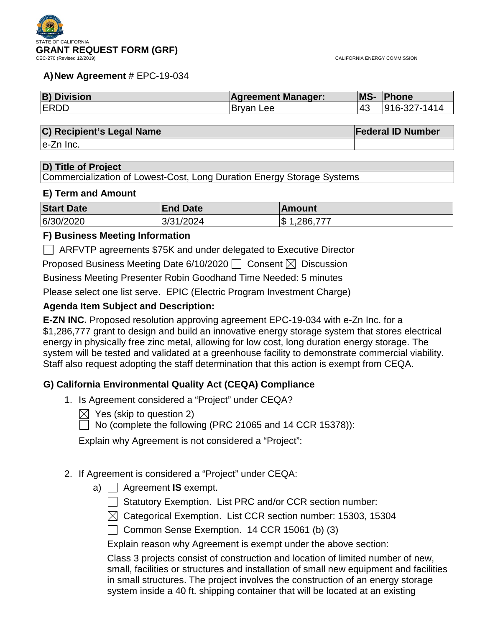

# **A)New Agreement** # EPC-19-034

| <b>B) Division</b> | <b>Agreement Manager:</b> | <b>MS-</b> | Phone        |
|--------------------|---------------------------|------------|--------------|
| <b>ERDD</b>        | Bryan Lee                 | 143        | 916-327-1414 |

# **C) Recipient's Legal Name Federal ID Number**

e-Zn Inc.

# **D) Title of Project**

Commercialization of Lowest-Cost, Long Duration Energy Storage Systems

# **E) Term and Amount**

| <b>Start Date</b> | <b>End Date</b> | Amount         |
|-------------------|-----------------|----------------|
| 6/30/2020         | 3/31/2024       | .286,777<br>\$ |

# **F) Business Meeting Information**

ARFVTP agreements \$75K and under delegated to Executive Director

Proposed Business Meeting Date 6/10/2020  $\Box$  Consent  $\boxtimes$  Discussion

Business Meeting Presenter Robin Goodhand Time Needed: 5 minutes

Please select one list serve. EPIC (Electric Program Investment Charge)

# **Agenda Item Subject and Description:**

**E-ZN INC.** Proposed resolution approving agreement EPC-19-034 with e-Zn Inc. for a \$1,286,777 grant to design and build an innovative energy storage system that stores electrical energy in physically free zinc metal, allowing for low cost, long duration energy storage. The system will be tested and validated at a greenhouse facility to demonstrate commercial viability. Staff also request adopting the staff determination that this action is exempt from CEQA.

# **G) California Environmental Quality Act (CEQA) Compliance**

- 1. Is Agreement considered a "Project" under CEQA?
	- $\boxtimes$  Yes (skip to question 2)
		- No (complete the following (PRC 21065 and 14 CCR 15378)):

Explain why Agreement is not considered a "Project":

# 2. If Agreement is considered a "Project" under CEQA:

- a) Agreement **IS** exempt.
	- $\Box$  Statutory Exemption. List PRC and/or CCR section number:
	- $\boxtimes$  Categorical Exemption. List CCR section number: 15303, 15304
	- Common Sense Exemption. 14 CCR 15061 (b) (3)

Explain reason why Agreement is exempt under the above section:

Class 3 projects consist of construction and location of limited number of new, small, facilities or structures and installation of small new equipment and facilities in small structures. The project involves the construction of an energy storage system inside a 40 ft. shipping container that will be located at an existing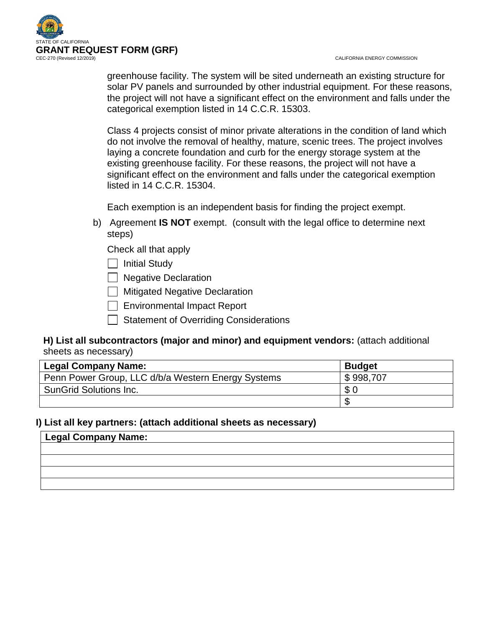

CALIFORNIA ENERGY COMMISSION

greenhouse facility. The system will be sited underneath an existing structure for solar PV panels and surrounded by other industrial equipment. For these reasons, the project will not have a significant effect on the environment and falls under the categorical exemption listed in 14 C.C.R. 15303.

Class 4 projects consist of minor private alterations in the condition of land which do not involve the removal of healthy, mature, scenic trees. The project involves laying a concrete foundation and curb for the energy storage system at the existing greenhouse facility. For these reasons, the project will not have a significant effect on the environment and falls under the categorical exemption listed in 14 C.C.R. 15304.

Each exemption is an independent basis for finding the project exempt.

b) Agreement **IS NOT** exempt. (consult with the legal office to determine next steps)

Check all that apply

 $\Box$  Initial Study

Regative Declaration

 $\Box$  Mitigated Negative Declaration

Environmental Impact Report

Statement of Overriding Considerations

# **H) List all subcontractors (major and minor) and equipment vendors:** (attach additional sheets as necessary)

| <b>Legal Company Name:</b>                         | <b>Budget</b> |
|----------------------------------------------------|---------------|
| Penn Power Group, LLC d/b/a Western Energy Systems | \$998,707     |
| <b>SunGrid Solutions Inc.</b>                      | \$0           |
|                                                    |               |

# **I) List all key partners: (attach additional sheets as necessary)**

| Legal Company Name: |  |  |
|---------------------|--|--|
|                     |  |  |
|                     |  |  |
|                     |  |  |
|                     |  |  |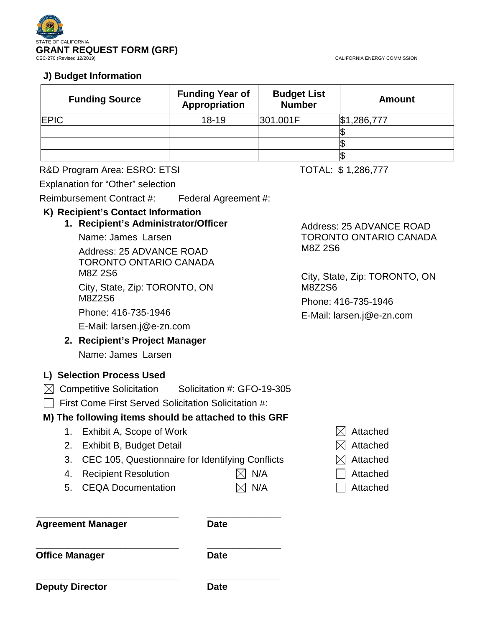

CALIFORNIA ENERGY COMMISSION

# **J) Budget Information**

| <b>Funding Source</b> | <b>Funding Year of</b><br>Appropriation | <b>Budget List</b><br><b>Number</b> | <b>Amount</b> |
|-----------------------|-----------------------------------------|-------------------------------------|---------------|
| <b>EPIC</b>           | $18 - 19$                               | 301.001F                            | \$1,286,777   |
|                       |                                         |                                     |               |
|                       |                                         |                                     |               |
|                       |                                         |                                     |               |

# R&D Program Area: ESRO: ETSI TOTAL: \$1,286,777

Explanation for "Other" selection

Reimbursement Contract #: Federal Agreement #:

# **K) Recipient's Contact Information**

**1. Recipient's Administrator/Officer**

Name: James Larsen Address: 25 ADVANCE ROAD TORONTO ONTARIO CANADA M8Z 2S6 City, State, Zip: TORONTO, ON M8Z2S6

Phone: 416-735-1946

E-Mail: larsen.j@e-zn.com

# **2. Recipient's Project Manager**

Name: James Larsen

# **L) Selection Process Used**

 $\boxtimes$  Competitive Solicitation Solicitation #: GFO-19-305

 $\Box$  First Come First Served Solicitation Solicitation #:

# **M) The following items should be attached to this GRF**

- 1. Exhibit A, Scope of Work  $\boxtimes$  Attached
- 2. Exhibit B, Budget Detail  $\boxtimes$  Attached
- 3. CEC 105, Questionnaire for Identifying Conflicts  $\boxtimes$  Attached
- 4. Recipient Resolution  $\boxtimes$  N/A  $\Box$  Attached

**\_\_\_\_\_\_\_\_\_\_\_\_\_\_\_\_\_\_\_\_\_\_\_\_\_\_\_ \_\_\_\_\_\_\_\_\_\_\_\_\_\_**

5. CEQA Documentation  $\boxtimes$  N/A  $\Box$  Attached

**\_\_\_\_\_\_\_\_\_\_\_\_\_\_\_\_\_\_\_\_\_\_\_\_\_\_\_ \_\_\_\_\_\_\_\_\_\_\_\_\_\_ Agreement Manager Date**

**\_\_\_\_\_\_\_\_\_\_\_\_\_\_\_\_\_\_\_\_\_\_\_\_\_\_\_ \_\_\_\_\_\_\_\_\_\_\_\_\_\_ Office Manager Date** 

**Deputy Director Date** 

Address: 25 ADVANCE ROAD TORONTO ONTARIO CANADA M8Z 2S6

City, State, Zip: TORONTO, ON M8Z2S6

Phone: 416-735-1946

E-Mail: larsen.j@e-zn.com

- 
- 
-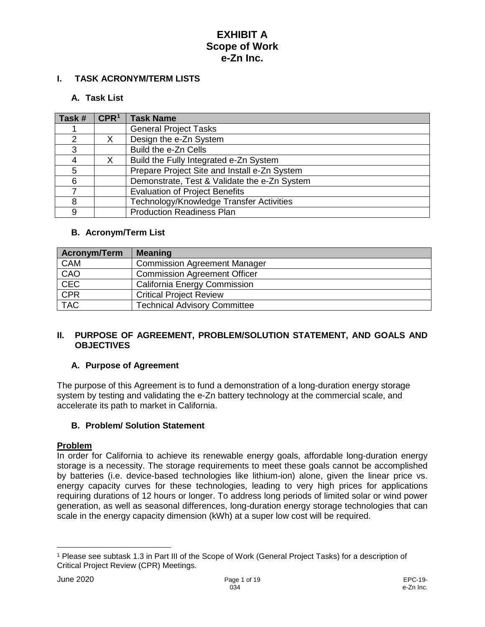### **I. TASK ACRONYM/TERM LISTS**

#### **A. Task List**

| Task # | CPR <sup>1</sup> | <b>Task Name</b>                             |
|--------|------------------|----------------------------------------------|
|        |                  | <b>General Project Tasks</b>                 |
| 2      | X                | Design the e-Zn System                       |
| 3      |                  | Build the e-Zn Cells                         |
| 4      |                  | Build the Fully Integrated e-Zn System       |
| 5      |                  | Prepare Project Site and Install e-Zn System |
| 6      |                  | Demonstrate, Test & Validate the e-Zn System |
|        |                  | <b>Evaluation of Project Benefits</b>        |
| 8      |                  | Technology/Knowledge Transfer Activities     |
| 9      |                  | <b>Production Readiness Plan</b>             |

### **B. Acronym/Term List**

| <b>Acronym/Term</b> | <b>Meaning</b>                      |
|---------------------|-------------------------------------|
| CAM                 | <b>Commission Agreement Manager</b> |
| CAO                 | <b>Commission Agreement Officer</b> |
| <b>CEC</b>          | <b>California Energy Commission</b> |
| CPR                 | <b>Critical Project Review</b>      |
| <b>TAC</b>          | <b>Technical Advisory Committee</b> |

### **II. PURPOSE OF AGREEMENT, PROBLEM/SOLUTION STATEMENT, AND GOALS AND OBJECTIVES**

#### **A. Purpose of Agreement**

The purpose of this Agreement is to fund a demonstration of a long-duration energy storage system by testing and validating the e-Zn battery technology at the commercial scale, and accelerate its path to market in California.

#### **B. Problem/ Solution Statement**

#### **Problem**

In order for California to achieve its renewable energy goals, affordable long-duration energy storage is a necessity. The storage requirements to meet these goals cannot be accomplished by batteries (i.e. device-based technologies like lithium-ion) alone, given the linear price vs. energy capacity curves for these technologies, leading to very high prices for applications requiring durations of 12 hours or longer. To address long periods of limited solar or wind power generation, as well as seasonal differences, long-duration energy storage technologies that can scale in the energy capacity dimension (kWh) at a super low cost will be required.

 $\overline{a}$ 

<span id="page-3-0"></span><sup>1</sup> Please see subtask 1.3 in Part III of the Scope of Work (General Project Tasks) for a description of Critical Project Review (CPR) Meetings.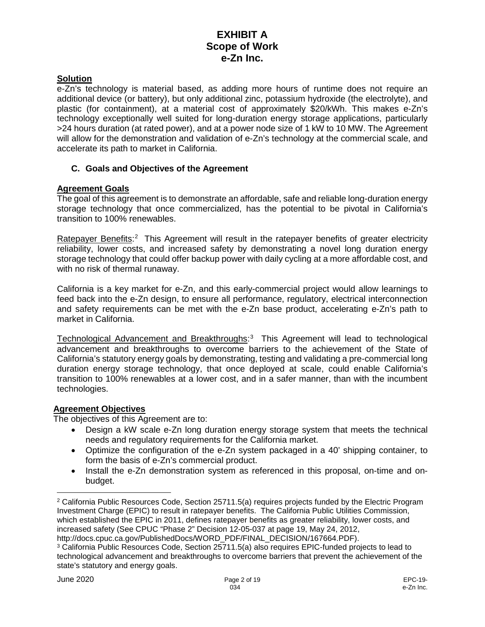### **Solution**

e-Zn's technology is material based, as adding more hours of runtime does not require an additional device (or battery), but only additional zinc, potassium hydroxide (the electrolyte), and plastic (for containment), at a material cost of approximately \$20/kWh. This makes e-Zn's technology exceptionally well suited for long-duration energy storage applications, particularly >24 hours duration (at rated power), and at a power node size of 1 kW to 10 MW. The Agreement will allow for the demonstration and validation of e-Zn's technology at the commercial scale, and accelerate its path to market in California.

### **C. Goals and Objectives of the Agreement**

#### **Agreement Goals**

The goal of this agreement is to demonstrate an affordable, safe and reliable long-duration energy storage technology that once commercialized, has the potential to be pivotal in California's transition to 100% renewables.

Ratepayer Benefits:<sup>[2](#page-4-0)</sup> This Agreement will result in the ratepayer benefits of greater electricity reliability, lower costs, and increased safety by demonstrating a novel long duration energy storage technology that could offer backup power with daily cycling at a more affordable cost, and with no risk of thermal runaway.

California is a key market for e-Zn, and this early-commercial project would allow learnings to feed back into the e-Zn design, to ensure all performance, regulatory, electrical interconnection and safety requirements can be met with the e-Zn base product, accelerating e-Zn's path to market in California.

Technological Advancement and Breakthroughs:<sup>[3](#page-4-1)</sup> This Agreement will lead to technological advancement and breakthroughs to overcome barriers to the achievement of the State of California's statutory energy goals by demonstrating, testing and validating a pre-commercial long duration energy storage technology, that once deployed at scale, could enable California's transition to 100% renewables at a lower cost, and in a safer manner, than with the incumbent technologies.

### **Agreement Objectives**

The objectives of this Agreement are to:

- Design a kW scale e-Zn long duration energy storage system that meets the technical needs and regulatory requirements for the California market.
- Optimize the configuration of the e-Zn system packaged in a 40' shipping container, to form the basis of e-Zn's commercial product.
- Install the e-Zn demonstration system as referenced in this proposal, on-time and onbudget.

 $\overline{a}$ 

<span id="page-4-0"></span><sup>2</sup> California Public Resources Code, Section 25711.5(a) requires projects funded by the Electric Program Investment Charge (EPIC) to result in ratepayer benefits. The California Public Utilities Commission, which established the EPIC in 2011, defines ratepayer benefits as greater reliability, lower costs, and increased safety (See CPUC "Phase 2" Decision 12-05-037 at page 19, May 24, 2012,

http://docs.cpuc.ca.gov/PublishedDocs/WORD\_PDF/FINAL\_DECISION/167664.PDF).

<span id="page-4-1"></span><sup>3</sup> California Public Resources Code, Section 25711.5(a) also requires EPIC-funded projects to lead to technological advancement and breakthroughs to overcome barriers that prevent the achievement of the state's statutory and energy goals.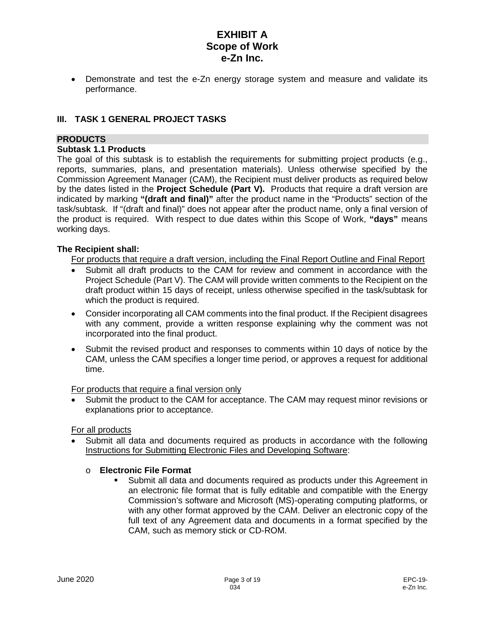• Demonstrate and test the e-Zn energy storage system and measure and validate its performance.

# **III. TASK 1 GENERAL PROJECT TASKS**

### **PRODUCTS**

### **Subtask 1.1 Products**

The goal of this subtask is to establish the requirements for submitting project products (e.g., reports, summaries, plans, and presentation materials). Unless otherwise specified by the Commission Agreement Manager (CAM), the Recipient must deliver products as required below by the dates listed in the **Project Schedule (Part V).** Products that require a draft version are indicated by marking **"(draft and final)"** after the product name in the "Products" section of the task/subtask. If "(draft and final)" does not appear after the product name, only a final version of the product is required. With respect to due dates within this Scope of Work, **"days"** means working days.

### **The Recipient shall:**

For products that require a draft version, including the Final Report Outline and Final Report

- Submit all draft products to the CAM for review and comment in accordance with the Project Schedule (Part V). The CAM will provide written comments to the Recipient on the draft product within 15 days of receipt, unless otherwise specified in the task/subtask for which the product is required.
- Consider incorporating all CAM comments into the final product. If the Recipient disagrees with any comment, provide a written response explaining why the comment was not incorporated into the final product.
- Submit the revised product and responses to comments within 10 days of notice by the CAM, unless the CAM specifies a longer time period, or approves a request for additional time.

#### For products that require a final version only

• Submit the product to the CAM for acceptance. The CAM may request minor revisions or explanations prior to acceptance.

For all products

• Submit all data and documents required as products in accordance with the following Instructions for Submitting Electronic Files and Developing Software:

# o **Electronic File Format**

 Submit all data and documents required as products under this Agreement in an electronic file format that is fully editable and compatible with the Energy Commission's software and Microsoft (MS)-operating computing platforms, or with any other format approved by the CAM. Deliver an electronic copy of the full text of any Agreement data and documents in a format specified by the CAM, such as memory stick or CD-ROM.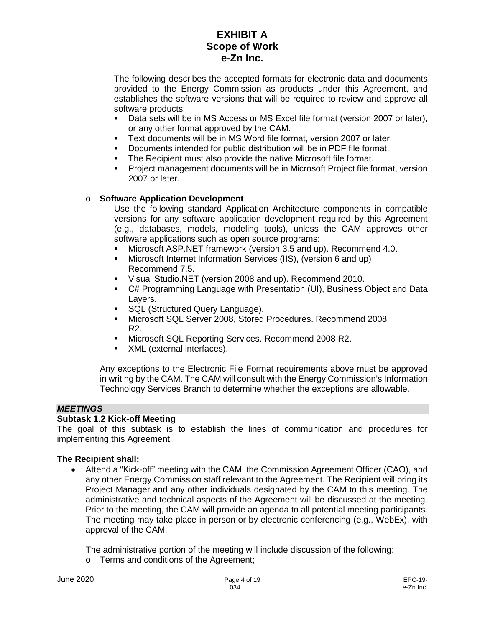The following describes the accepted formats for electronic data and documents provided to the Energy Commission as products under this Agreement, and establishes the software versions that will be required to review and approve all software products:

- Data sets will be in MS Access or MS Excel file format (version 2007 or later), or any other format approved by the CAM.
- Text documents will be in MS Word file format, version 2007 or later.
- Documents intended for public distribution will be in PDF file format.
- The Recipient must also provide the native Microsoft file format.
- Project management documents will be in Microsoft Project file format, version 2007 or later.

### o **Software Application Development**

Use the following standard Application Architecture components in compatible versions for any software application development required by this Agreement (e.g., databases, models, modeling tools), unless the CAM approves other software applications such as open source programs:

- Microsoft ASP.NET framework (version 3.5 and up). Recommend 4.0.
- Microsoft Internet Information Services (IIS), (version 6 and up) Recommend 7.5.
- Visual Studio.NET (version 2008 and up). Recommend 2010.
- C# Programming Language with Presentation (UI), Business Object and Data Layers.
- **SQL (Structured Query Language).**
- Microsoft SQL Server 2008, Stored Procedures. Recommend 2008 R2.
- Microsoft SQL Reporting Services. Recommend 2008 R2.
- XML (external interfaces).

Any exceptions to the Electronic File Format requirements above must be approved in writing by the CAM. The CAM will consult with the Energy Commission's Information Technology Services Branch to determine whether the exceptions are allowable.

# *MEETINGS*

# **Subtask 1.2 Kick-off Meeting**

The goal of this subtask is to establish the lines of communication and procedures for implementing this Agreement.

#### **The Recipient shall:**

• Attend a "Kick-off" meeting with the CAM, the Commission Agreement Officer (CAO), and any other Energy Commission staff relevant to the Agreement. The Recipient will bring its Project Manager and any other individuals designated by the CAM to this meeting. The administrative and technical aspects of the Agreement will be discussed at the meeting. Prior to the meeting, the CAM will provide an agenda to all potential meeting participants. The meeting may take place in person or by electronic conferencing (e.g., WebEx), with approval of the CAM.

The administrative portion of the meeting will include discussion of the following: o Terms and conditions of the Agreement;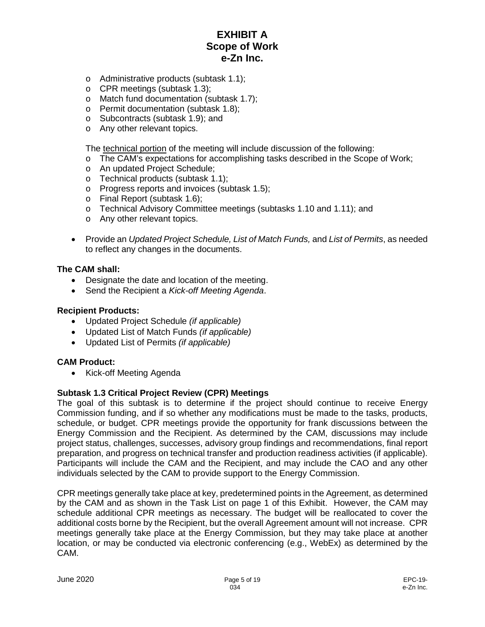- o Administrative products (subtask 1.1);
- o CPR meetings (subtask 1.3);
- o Match fund documentation (subtask 1.7);
- o Permit documentation (subtask 1.8);
- o Subcontracts (subtask 1.9); and
- o Any other relevant topics.

The technical portion of the meeting will include discussion of the following:

- o The CAM's expectations for accomplishing tasks described in the Scope of Work;
- o An updated Project Schedule;
- o Technical products (subtask 1.1);
- o Progress reports and invoices (subtask 1.5);
- o Final Report (subtask 1.6);
- o Technical Advisory Committee meetings (subtasks 1.10 and 1.11); and
- o Any other relevant topics.
- Provide an *Updated Project Schedule, List of Match Funds,* and *List of Permits*, as needed to reflect any changes in the documents.

#### **The CAM shall:**

- Designate the date and location of the meeting.
- Send the Recipient a *Kick-off Meeting Agenda*.

#### **Recipient Products:**

- Updated Project Schedule *(if applicable)*
- Updated List of Match Funds *(if applicable)*
- Updated List of Permits *(if applicable)*

#### **CAM Product:**

• Kick-off Meeting Agenda

#### **Subtask 1.3 Critical Project Review (CPR) Meetings**

The goal of this subtask is to determine if the project should continue to receive Energy Commission funding, and if so whether any modifications must be made to the tasks, products, schedule, or budget. CPR meetings provide the opportunity for frank discussions between the Energy Commission and the Recipient. As determined by the CAM, discussions may include project status, challenges, successes, advisory group findings and recommendations, final report preparation, and progress on technical transfer and production readiness activities (if applicable). Participants will include the CAM and the Recipient, and may include the CAO and any other individuals selected by the CAM to provide support to the Energy Commission.

CPR meetings generally take place at key, predetermined points in the Agreement, as determined by the CAM and as shown in the Task List on page 1 of this Exhibit. However, the CAM may schedule additional CPR meetings as necessary. The budget will be reallocated to cover the additional costs borne by the Recipient, but the overall Agreement amount will not increase. CPR meetings generally take place at the Energy Commission, but they may take place at another location, or may be conducted via electronic conferencing (e.g., WebEx) as determined by the CAM.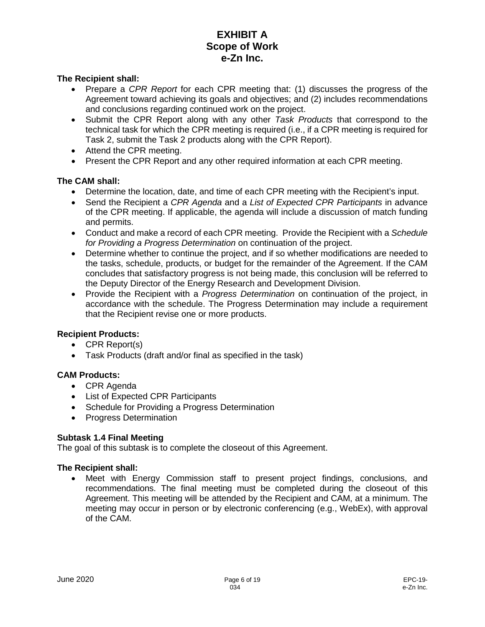#### **The Recipient shall:**

- Prepare a *CPR Report* for each CPR meeting that: (1) discusses the progress of the Agreement toward achieving its goals and objectives; and (2) includes recommendations and conclusions regarding continued work on the project.
- Submit the CPR Report along with any other *Task Products* that correspond to the technical task for which the CPR meeting is required (i.e., if a CPR meeting is required for Task 2, submit the Task 2 products along with the CPR Report).
- Attend the CPR meeting.
- Present the CPR Report and any other required information at each CPR meeting.

### **The CAM shall:**

- Determine the location, date, and time of each CPR meeting with the Recipient's input.
- Send the Recipient a *CPR Agenda* and a *List of Expected CPR Participants* in advance of the CPR meeting. If applicable, the agenda will include a discussion of match funding and permits.
- Conduct and make a record of each CPR meeting. Provide the Recipient with a *Schedule for Providing a Progress Determination* on continuation of the project.
- Determine whether to continue the project, and if so whether modifications are needed to the tasks, schedule, products, or budget for the remainder of the Agreement. If the CAM concludes that satisfactory progress is not being made, this conclusion will be referred to the Deputy Director of the Energy Research and Development Division.
- Provide the Recipient with a *Progress Determination* on continuation of the project, in accordance with the schedule. The Progress Determination may include a requirement that the Recipient revise one or more products.

#### **Recipient Products:**

- CPR Report(s)
- Task Products (draft and/or final as specified in the task)

### **CAM Products:**

- CPR Agenda
- List of Expected CPR Participants
- Schedule for Providing a Progress Determination
- Progress Determination

#### **Subtask 1.4 Final Meeting**

The goal of this subtask is to complete the closeout of this Agreement.

#### **The Recipient shall:**

• Meet with Energy Commission staff to present project findings, conclusions, and recommendations. The final meeting must be completed during the closeout of this Agreement. This meeting will be attended by the Recipient and CAM, at a minimum. The meeting may occur in person or by electronic conferencing (e.g., WebEx), with approval of the CAM.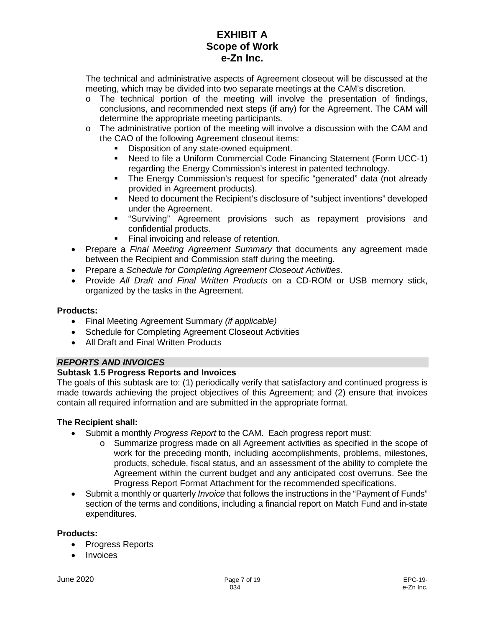The technical and administrative aspects of Agreement closeout will be discussed at the meeting, which may be divided into two separate meetings at the CAM's discretion.

- $\circ$  The technical portion of the meeting will involve the presentation of findings, conclusions, and recommended next steps (if any) for the Agreement. The CAM will determine the appropriate meeting participants.
- $\circ$  The administrative portion of the meeting will involve a discussion with the CAM and the CAO of the following Agreement closeout items:
	- Disposition of any state-owned equipment.
	- Need to file a Uniform Commercial Code Financing Statement (Form UCC-1) regarding the Energy Commission's interest in patented technology.
	- The Energy Commission's request for specific "generated" data (not already provided in Agreement products).
	- Need to document the Recipient's disclosure of "subject inventions" developed under the Agreement.
	- "Surviving" Agreement provisions such as repayment provisions and confidential products.
	- Final invoicing and release of retention.
- Prepare a *Final Meeting Agreement Summary* that documents any agreement made between the Recipient and Commission staff during the meeting.
- Prepare a *Schedule for Completing Agreement Closeout Activities*.
- Provide *All Draft and Final Written Products* on a CD-ROM or USB memory stick, organized by the tasks in the Agreement.

# **Products:**

- Final Meeting Agreement Summary *(if applicable)*
- Schedule for Completing Agreement Closeout Activities
- All Draft and Final Written Products

# *REPORTS AND INVOICES*

# **Subtask 1.5 Progress Reports and Invoices**

The goals of this subtask are to: (1) periodically verify that satisfactory and continued progress is made towards achieving the project objectives of this Agreement; and (2) ensure that invoices contain all required information and are submitted in the appropriate format.

# **The Recipient shall:**

- Submit a monthly *Progress Report* to the CAM. Each progress report must:
	- o Summarize progress made on all Agreement activities as specified in the scope of work for the preceding month, including accomplishments, problems, milestones, products, schedule, fiscal status, and an assessment of the ability to complete the Agreement within the current budget and any anticipated cost overruns. See the Progress Report Format Attachment for the recommended specifications.
- Submit a monthly or quarterly *Invoice* that follows the instructions in the "Payment of Funds" section of the terms and conditions, including a financial report on Match Fund and in-state expenditures.

#### **Products:**

- Progress Reports
- Invoices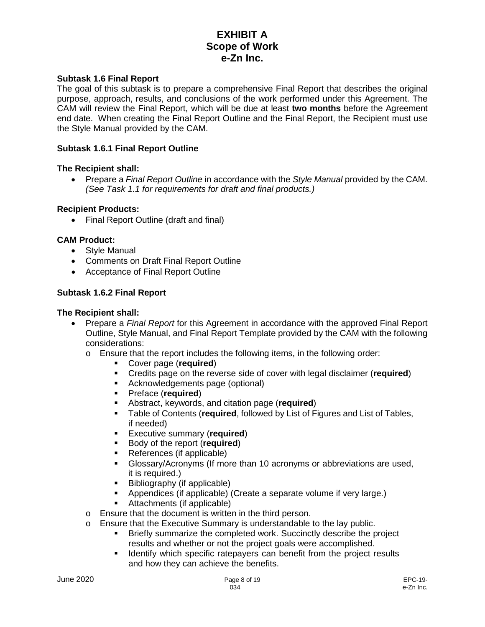#### **Subtask 1.6 Final Report**

The goal of this subtask is to prepare a comprehensive Final Report that describes the original purpose, approach, results, and conclusions of the work performed under this Agreement. The CAM will review the Final Report, which will be due at least **two months** before the Agreement end date. When creating the Final Report Outline and the Final Report, the Recipient must use the Style Manual provided by the CAM.

#### **Subtask 1.6.1 Final Report Outline**

#### **The Recipient shall:**

• Prepare a *Final Report Outline* in accordance with the *Style Manual* provided by the CAM. *(See Task 1.1 for requirements for draft and final products.)*

#### **Recipient Products:**

• Final Report Outline (draft and final)

#### **CAM Product:**

- Style Manual
- Comments on Draft Final Report Outline
- Acceptance of Final Report Outline

### **Subtask 1.6.2 Final Report**

- Prepare a *Final Report* for this Agreement in accordance with the approved Final Report Outline, Style Manual, and Final Report Template provided by the CAM with the following considerations:
	- o Ensure that the report includes the following items, in the following order:
		- Cover page (**required**)
		- Credits page on the reverse side of cover with legal disclaimer (**required**)
		- **Acknowledgements page (optional)**<br>**E** Preface (required)
		- Preface (**required**)
		- **Abstract, keywords, and citation page (required)**<br>**Example of Contents (required, followed by List of E**
		- Table of Contents (**required**, followed by List of Figures and List of Tables, if needed)
		- Executive summary (**required**)
		- **Body of the report (required)**
		- References (if applicable)
		- Glossary/Acronyms (If more than 10 acronyms or abbreviations are used, it is required.)
		- Bibliography (if applicable)
		- Appendices (if applicable) (Create a separate volume if very large.)
		- Attachments (if applicable)
	- o Ensure that the document is written in the third person.
	- o Ensure that the Executive Summary is understandable to the lay public.<br>Briefly summarize the completed work. Succinctly describe the public.
		- Briefly summarize the completed work. Succinctly describe the project results and whether or not the project goals were accomplished.
		- **IDED** Identify which specific ratepayers can benefit from the project results and how they can achieve the benefits.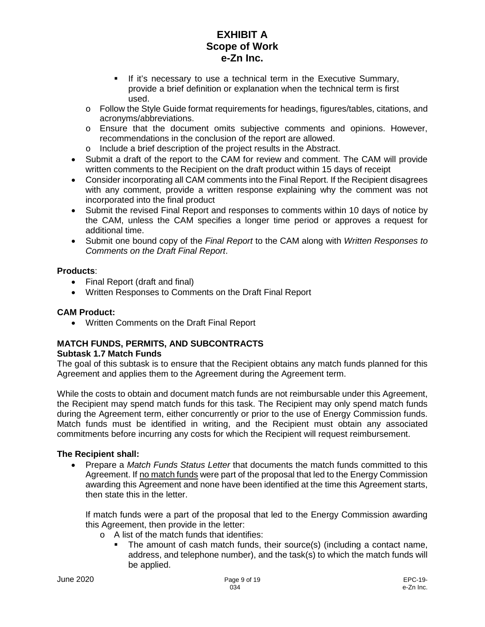- If it's necessary to use a technical term in the Executive Summary, provide a brief definition or explanation when the technical term is first used.
- o Follow the Style Guide format requirements for headings, figures/tables, citations, and acronyms/abbreviations.
- o Ensure that the document omits subjective comments and opinions. However, recommendations in the conclusion of the report are allowed.
- o Include a brief description of the project results in the Abstract.
- Submit a draft of the report to the CAM for review and comment. The CAM will provide written comments to the Recipient on the draft product within 15 days of receipt
- Consider incorporating all CAM comments into the Final Report. If the Recipient disagrees with any comment, provide a written response explaining why the comment was not incorporated into the final product
- Submit the revised Final Report and responses to comments within 10 days of notice by the CAM, unless the CAM specifies a longer time period or approves a request for additional time.
- Submit one bound copy of the *Final Report* to the CAM along with *Written Responses to Comments on the Draft Final Report*.

# **Products**:

- Final Report (draft and final)
- Written Responses to Comments on the Draft Final Report

# **CAM Product:**

• Written Comments on the Draft Final Report

#### **MATCH FUNDS, PERMITS, AND SUBCONTRACTS Subtask 1.7 Match Funds**

# The goal of this subtask is to ensure that the Recipient obtains any match funds planned for this Agreement and applies them to the Agreement during the Agreement term.

While the costs to obtain and document match funds are not reimbursable under this Agreement, the Recipient may spend match funds for this task. The Recipient may only spend match funds during the Agreement term, either concurrently or prior to the use of Energy Commission funds. Match funds must be identified in writing, and the Recipient must obtain any associated commitments before incurring any costs for which the Recipient will request reimbursement.

# **The Recipient shall:**

• Prepare a *Match Funds Status Letter* that documents the match funds committed to this Agreement. If no match funds were part of the proposal that led to the Energy Commission awarding this Agreement and none have been identified at the time this Agreement starts, then state this in the letter.

If match funds were a part of the proposal that led to the Energy Commission awarding this Agreement, then provide in the letter:

- o A list of the match funds that identifies:
	- The amount of cash match funds, their source(s) (including a contact name, address, and telephone number), and the task(s) to which the match funds will be applied.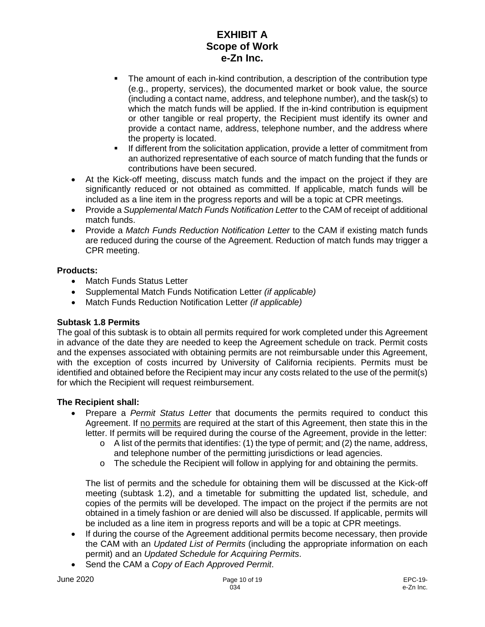- The amount of each in-kind contribution, a description of the contribution type (e.g., property, services), the documented market or book value, the source (including a contact name, address, and telephone number), and the task(s) to which the match funds will be applied. If the in-kind contribution is equipment or other tangible or real property, the Recipient must identify its owner and provide a contact name, address, telephone number, and the address where the property is located.
- If different from the solicitation application, provide a letter of commitment from an authorized representative of each source of match funding that the funds or contributions have been secured.
- At the Kick-off meeting, discuss match funds and the impact on the project if they are significantly reduced or not obtained as committed. If applicable, match funds will be included as a line item in the progress reports and will be a topic at CPR meetings.
- Provide a *Supplemental Match Funds Notification Letter* to the CAM of receipt of additional match funds.
- Provide a *Match Funds Reduction Notification Letter* to the CAM if existing match funds are reduced during the course of the Agreement. Reduction of match funds may trigger a CPR meeting.

# **Products:**

- Match Funds Status Letter
- Supplemental Match Funds Notification Letter *(if applicable)*
- Match Funds Reduction Notification Letter *(if applicable)*

# **Subtask 1.8 Permits**

The goal of this subtask is to obtain all permits required for work completed under this Agreement in advance of the date they are needed to keep the Agreement schedule on track. Permit costs and the expenses associated with obtaining permits are not reimbursable under this Agreement, with the exception of costs incurred by University of California recipients. Permits must be identified and obtained before the Recipient may incur any costs related to the use of the permit(s) for which the Recipient will request reimbursement.

# **The Recipient shall:**

- Prepare a *Permit Status Letter* that documents the permits required to conduct this Agreement. If no permits are required at the start of this Agreement, then state this in the letter. If permits will be required during the course of the Agreement, provide in the letter:
	- $\circ$  A list of the permits that identifies: (1) the type of permit; and (2) the name, address, and telephone number of the permitting jurisdictions or lead agencies.
	- $\circ$  The schedule the Recipient will follow in applying for and obtaining the permits.

The list of permits and the schedule for obtaining them will be discussed at the Kick-off meeting (subtask 1.2), and a timetable for submitting the updated list, schedule, and copies of the permits will be developed. The impact on the project if the permits are not obtained in a timely fashion or are denied will also be discussed. If applicable, permits will be included as a line item in progress reports and will be a topic at CPR meetings.

- If during the course of the Agreement additional permits become necessary, then provide the CAM with an *Updated List of Permits* (including the appropriate information on each permit) and an *Updated Schedule for Acquiring Permits*.
- Send the CAM a *Copy of Each Approved Permit*.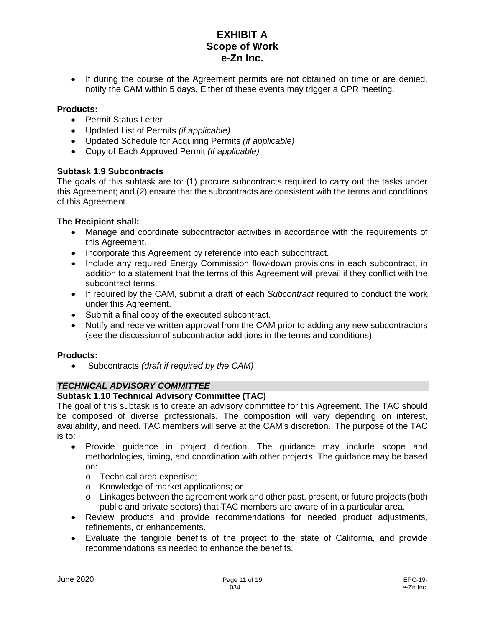• If during the course of the Agreement permits are not obtained on time or are denied, notify the CAM within 5 days. Either of these events may trigger a CPR meeting.

### **Products:**

- Permit Status Letter
- Updated List of Permits *(if applicable)*
- Updated Schedule for Acquiring Permits *(if applicable)*
- Copy of Each Approved Permit *(if applicable)*

### **Subtask 1.9 Subcontracts**

The goals of this subtask are to: (1) procure subcontracts required to carry out the tasks under this Agreement; and (2) ensure that the subcontracts are consistent with the terms and conditions of this Agreement.

### **The Recipient shall:**

- Manage and coordinate subcontractor activities in accordance with the requirements of this Agreement.
- Incorporate this Agreement by reference into each subcontract.
- Include any required Energy Commission flow-down provisions in each subcontract, in addition to a statement that the terms of this Agreement will prevail if they conflict with the subcontract terms.
- If required by the CAM, submit a draft of each *Subcontract* required to conduct the work under this Agreement.
- Submit a final copy of the executed subcontract.
- Notify and receive written approval from the CAM prior to adding any new subcontractors (see the discussion of subcontractor additions in the terms and conditions).

#### **Products:**

• Subcontracts *(draft if required by the CAM)*

# *TECHNICAL ADVISORY COMMITTEE*

# **Subtask 1.10 Technical Advisory Committee (TAC)**

The goal of this subtask is to create an advisory committee for this Agreement. The TAC should be composed of diverse professionals. The composition will vary depending on interest, availability, and need. TAC members will serve at the CAM's discretion. The purpose of the TAC is to:

- Provide guidance in project direction. The guidance may include scope and methodologies, timing, and coordination with other projects. The guidance may be based on:
	- o Technical area expertise;
	- o Knowledge of market applications; or
	- o Linkages between the agreement work and other past, present, or future projects (both public and private sectors) that TAC members are aware of in a particular area.
- Review products and provide recommendations for needed product adjustments, refinements, or enhancements.
- Evaluate the tangible benefits of the project to the state of California, and provide recommendations as needed to enhance the benefits.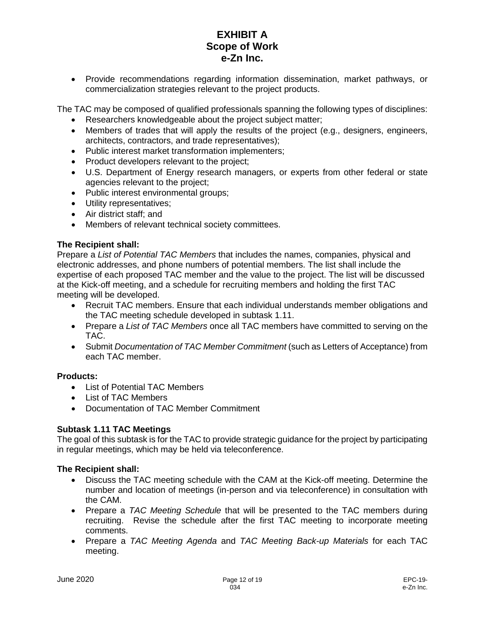• Provide recommendations regarding information dissemination, market pathways, or commercialization strategies relevant to the project products.

The TAC may be composed of qualified professionals spanning the following types of disciplines:

- Researchers knowledgeable about the project subject matter;
- Members of trades that will apply the results of the project (e.g., designers, engineers, architects, contractors, and trade representatives);
- Public interest market transformation implementers;
- Product developers relevant to the project;
- U.S. Department of Energy research managers, or experts from other federal or state agencies relevant to the project;
- Public interest environmental groups;
- Utility representatives;
- Air district staff; and
- Members of relevant technical society committees.

### **The Recipient shall:**

Prepare a *List of Potential TAC Members* that includes the names, companies, physical and electronic addresses, and phone numbers of potential members. The list shall include the expertise of each proposed TAC member and the value to the project. The list will be discussed at the Kick-off meeting, and a schedule for recruiting members and holding the first TAC meeting will be developed.

- Recruit TAC members. Ensure that each individual understands member obligations and the TAC meeting schedule developed in subtask 1.11.
- Prepare a *List of TAC Members* once all TAC members have committed to serving on the TAC.
- Submit *Documentation of TAC Member Commitment* (such as Letters of Acceptance) from each TAC member.

#### **Products:**

- List of Potential TAC Members
- List of TAC Members
- Documentation of TAC Member Commitment

#### **Subtask 1.11 TAC Meetings**

The goal of this subtask is for the TAC to provide strategic guidance for the project by participating in regular meetings, which may be held via teleconference.

- Discuss the TAC meeting schedule with the CAM at the Kick-off meeting. Determine the number and location of meetings (in-person and via teleconference) in consultation with the CAM.
- Prepare a *TAC Meeting Schedule* that will be presented to the TAC members during recruiting. Revise the schedule after the first TAC meeting to incorporate meeting comments.
- Prepare a *TAC Meeting Agenda* and *TAC Meeting Back-up Materials* for each TAC meeting.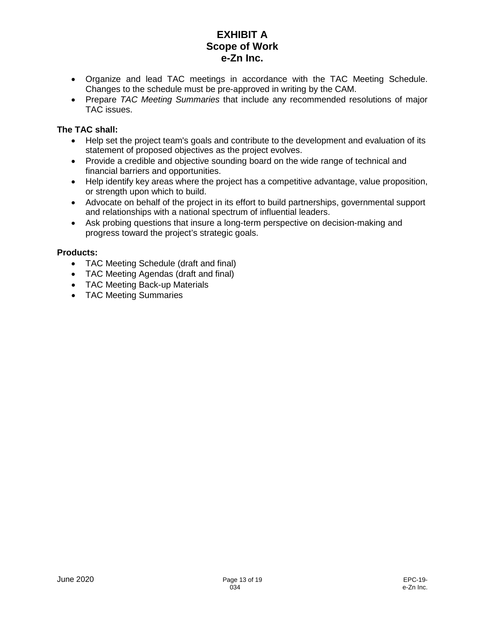- Organize and lead TAC meetings in accordance with the TAC Meeting Schedule. Changes to the schedule must be pre-approved in writing by the CAM.
- Prepare *TAC Meeting Summaries* that include any recommended resolutions of major TAC issues.

# **The TAC shall:**

- Help set the project team's goals and contribute to the development and evaluation of its statement of proposed objectives as the project evolves.
- Provide a credible and objective sounding board on the wide range of technical and financial barriers and opportunities.
- Help identify key areas where the project has a competitive advantage, value proposition, or strength upon which to build.
- Advocate on behalf of the project in its effort to build partnerships, governmental support and relationships with a national spectrum of influential leaders.
- Ask probing questions that insure a long-term perspective on decision-making and progress toward the project's strategic goals.

# **Products:**

- TAC Meeting Schedule (draft and final)
- TAC Meeting Agendas (draft and final)
- TAC Meeting Back-up Materials
- TAC Meeting Summaries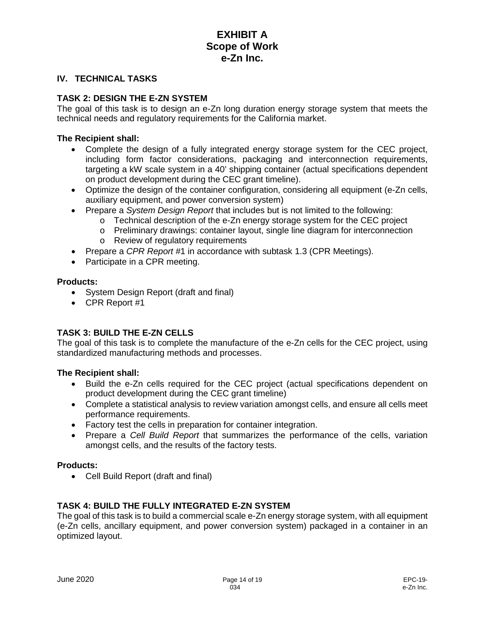### **IV. TECHNICAL TASKS**

### **TASK 2: DESIGN THE E-ZN SYSTEM**

The goal of this task is to design an e-Zn long duration energy storage system that meets the technical needs and regulatory requirements for the California market.

#### **The Recipient shall:**

- Complete the design of a fully integrated energy storage system for the CEC project, including form factor considerations, packaging and interconnection requirements, targeting a kW scale system in a 40' shipping container (actual specifications dependent on product development during the CEC grant timeline).
- Optimize the design of the container configuration, considering all equipment (e-Zn cells, auxiliary equipment, and power conversion system)
- Prepare a *System Design Report* that includes but is not limited to the following:
	- o Technical description of the e-Zn energy storage system for the CEC project
	- o Preliminary drawings: container layout, single line diagram for interconnection
	- o Review of regulatory requirements
- Prepare a *CPR Report* #1 in accordance with subtask 1.3 (CPR Meetings).
- Participate in a CPR meeting.

### **Products:**

- System Design Report (draft and final)
- CPR Report #1

# **TASK 3: BUILD THE E-ZN CELLS**

The goal of this task is to complete the manufacture of the e-Zn cells for the CEC project, using standardized manufacturing methods and processes.

#### **The Recipient shall:**

- Build the e-Zn cells required for the CEC project (actual specifications dependent on product development during the CEC grant timeline)
- Complete a statistical analysis to review variation amongst cells, and ensure all cells meet performance requirements.
- Factory test the cells in preparation for container integration.
- Prepare a *Cell Build Report* that summarizes the performance of the cells, variation amongst cells, and the results of the factory tests.

#### **Products:**

• Cell Build Report (draft and final)

# **TASK 4: BUILD THE FULLY INTEGRATED E-ZN SYSTEM**

The goal of this task is to build a commercial scale e-Zn energy storage system, with all equipment (e-Zn cells, ancillary equipment, and power conversion system) packaged in a container in an optimized layout.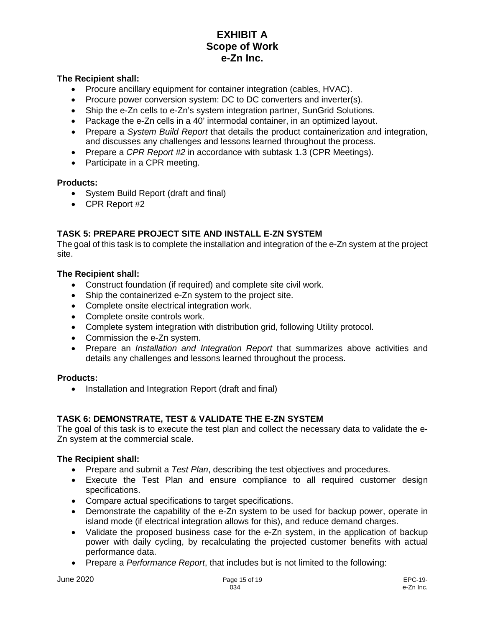#### **The Recipient shall:**

- Procure ancillary equipment for container integration (cables, HVAC).
- Procure power conversion system: DC to DC converters and inverter(s).
- Ship the e-Zn cells to e-Zn's system integration partner, SunGrid Solutions.
- Package the e-Zn cells in a 40' intermodal container, in an optimized layout.
- Prepare a *System Build Report* that details the product containerization and integration, and discusses any challenges and lessons learned throughout the process.
- Prepare a *CPR Report #2* in accordance with subtask 1.3 (CPR Meetings).
- Participate in a CPR meeting.

#### **Products:**

- System Build Report (draft and final)
- CPR Report #2

# **TASK 5: PREPARE PROJECT SITE AND INSTALL E-ZN SYSTEM**

The goal of this task is to complete the installation and integration of the e-Zn system at the project site.

#### **The Recipient shall:**

- Construct foundation (if required) and complete site civil work.
- Ship the containerized e-Zn system to the project site.
- Complete onsite electrical integration work.
- Complete onsite controls work.
- Complete system integration with distribution grid, following Utility protocol.
- Commission the e-Zn system.
- Prepare an *Installation and Integration Report* that summarizes above activities and details any challenges and lessons learned throughout the process.

#### **Products:**

• Installation and Integration Report (draft and final)

# **TASK 6: DEMONSTRATE, TEST & VALIDATE THE E-ZN SYSTEM**

The goal of this task is to execute the test plan and collect the necessary data to validate the e-Zn system at the commercial scale.

- Prepare and submit a *Test Plan*, describing the test objectives and procedures.
- Execute the Test Plan and ensure compliance to all required customer design specifications.
- Compare actual specifications to target specifications.
- Demonstrate the capability of the e-Zn system to be used for backup power, operate in island mode (if electrical integration allows for this), and reduce demand charges.
- Validate the proposed business case for the e-Zn system, in the application of backup power with daily cycling, by recalculating the projected customer benefits with actual performance data.
- Prepare a *Performance Report*, that includes but is not limited to the following: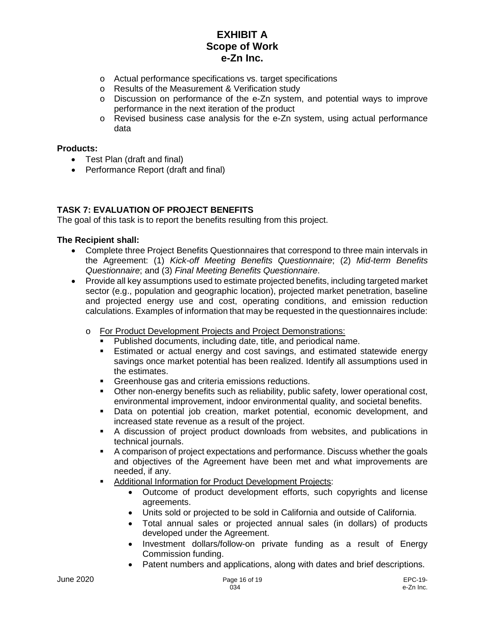- o Actual performance specifications vs. target specifications
- o Results of the Measurement & Verification study
- o Discussion on performance of the e-Zn system, and potential ways to improve performance in the next iteration of the product
- o Revised business case analysis for the e-Zn system, using actual performance data

#### **Products:**

- Test Plan (draft and final)
- Performance Report (draft and final)

# **TASK 7: EVALUATION OF PROJECT BENEFITS**

The goal of this task is to report the benefits resulting from this project.

- Complete three Project Benefits Questionnaires that correspond to three main intervals in the Agreement: (1) *Kick-off Meeting Benefits Questionnaire*; (2) *Mid-term Benefits Questionnaire*; and (3) *Final Meeting Benefits Questionnaire*.
- Provide all key assumptions used to estimate projected benefits, including targeted market sector (e.g., population and geographic location), projected market penetration, baseline and projected energy use and cost, operating conditions, and emission reduction calculations. Examples of information that may be requested in the questionnaires include:
	- o For Product Development Projects and Project Demonstrations:
		- Published documents, including date, title, and periodical name.<br>■ Estimated or actual energy and cost savings, and estimated s
		- Estimated or actual energy and cost savings, and estimated statewide energy savings once market potential has been realized. Identify all assumptions used in the estimates.
		- **Greenhouse gas and criteria emissions reductions.**
		- Other non-energy benefits such as reliability, public safety, lower operational cost, environmental improvement, indoor environmental quality, and societal benefits.
		- Data on potential job creation, market potential, economic development, and increased state revenue as a result of the project.
		- A discussion of project product downloads from websites, and publications in technical journals.
		- A comparison of project expectations and performance. Discuss whether the goals and objectives of the Agreement have been met and what improvements are needed, if any.
		- **Additional Information for Product Development Projects:** 
			- Outcome of product development efforts, such copyrights and license agreements.
			- Units sold or projected to be sold in California and outside of California.
			- Total annual sales or projected annual sales (in dollars) of products developed under the Agreement.
			- Investment dollars/follow-on private funding as a result of Energy Commission funding.
			- Patent numbers and applications, along with dates and brief descriptions.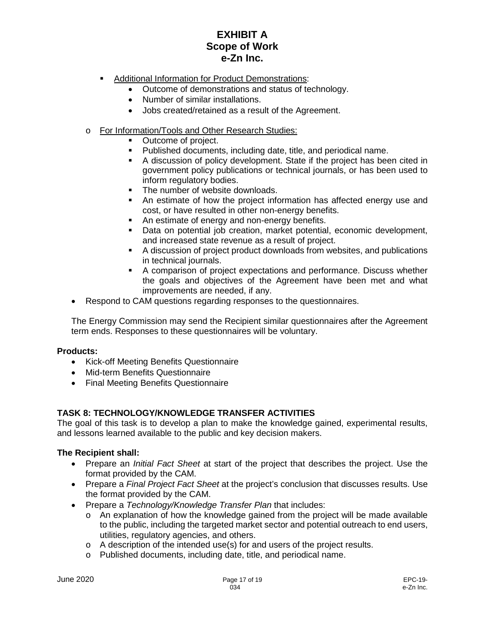- Additional Information for Product Demonstrations:
	- Outcome of demonstrations and status of technology.
	- Number of similar installations.
	- Jobs created/retained as a result of the Agreement.
- o For Information/Tools and Other Research Studies:
	- Outcome of project.
	- Published documents, including date, title, and periodical name.
	- A discussion of policy development. State if the project has been cited in government policy publications or technical journals, or has been used to inform regulatory bodies.
	- The number of website downloads.
	- An estimate of how the project information has affected energy use and cost, or have resulted in other non-energy benefits.
	- An estimate of energy and non-energy benefits.
	- Data on potential job creation, market potential, economic development, and increased state revenue as a result of project.
	- A discussion of project product downloads from websites, and publications in technical journals.
	- A comparison of project expectations and performance. Discuss whether the goals and objectives of the Agreement have been met and what improvements are needed, if any.
- Respond to CAM questions regarding responses to the questionnaires.

The Energy Commission may send the Recipient similar questionnaires after the Agreement term ends. Responses to these questionnaires will be voluntary.

# **Products:**

- Kick-off Meeting Benefits Questionnaire
- Mid-term Benefits Questionnaire
- Final Meeting Benefits Questionnaire

# **TASK 8: TECHNOLOGY/KNOWLEDGE TRANSFER ACTIVITIES**

The goal of this task is to develop a plan to make the knowledge gained, experimental results, and lessons learned available to the public and key decision makers.

- Prepare an *Initial Fact Sheet* at start of the project that describes the project. Use the format provided by the CAM.
- Prepare a *Final Project Fact Sheet* at the project's conclusion that discusses results. Use the format provided by the CAM.
- Prepare a *Technology/Knowledge Transfer Plan* that includes:
	- $\circ$  An explanation of how the knowledge gained from the project will be made available to the public, including the targeted market sector and potential outreach to end users, utilities, regulatory agencies, and others.
	- $\circ$  A description of the intended use(s) for and users of the project results.
	- o Published documents, including date, title, and periodical name.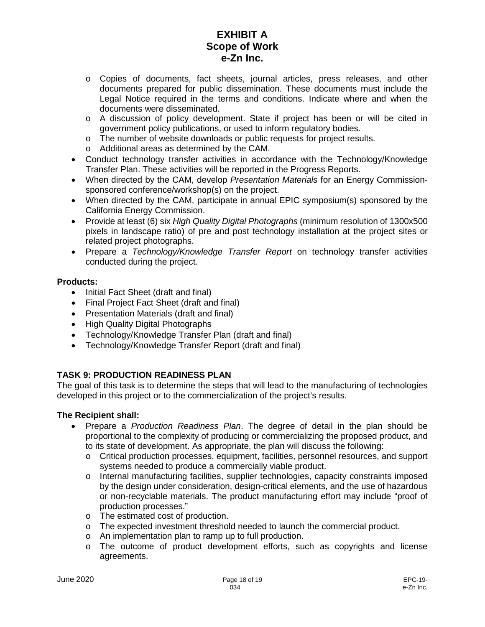- o Copies of documents, fact sheets, journal articles, press releases, and other documents prepared for public dissemination. These documents must include the Legal Notice required in the terms and conditions. Indicate where and when the documents were disseminated.
- o A discussion of policy development. State if project has been or will be cited in government policy publications, or used to inform regulatory bodies.
- o The number of website downloads or public requests for project results.
- o Additional areas as determined by the CAM.
- Conduct technology transfer activities in accordance with the Technology/Knowledge Transfer Plan. These activities will be reported in the Progress Reports.
- When directed by the CAM, develop *Presentation Materials* for an Energy Commissionsponsored conference/workshop(s) on the project.
- When directed by the CAM, participate in annual EPIC symposium(s) sponsored by the California Energy Commission.
- Provide at least (6) six *High Quality Digital Photographs* (minimum resolution of 1300x500 pixels in landscape ratio) of pre and post technology installation at the project sites or related project photographs.
- Prepare a *Technology/Knowledge Transfer Report* on technology transfer activities conducted during the project.

# **Products:**

- Initial Fact Sheet (draft and final)
- Final Project Fact Sheet (draft and final)
- Presentation Materials (draft and final)
- High Quality Digital Photographs
- Technology/Knowledge Transfer Plan (draft and final)
- Technology/Knowledge Transfer Report (draft and final)

# **TASK 9: PRODUCTION READINESS PLAN**

The goal of this task is to determine the steps that will lead to the manufacturing of technologies developed in this project or to the commercialization of the project's results.

- Prepare a *Production Readiness Plan*. The degree of detail in the plan should be proportional to the complexity of producing or commercializing the proposed product, and to its state of development. As appropriate, the plan will discuss the following:
	- o Critical production processes, equipment, facilities, personnel resources, and support systems needed to produce a commercially viable product.
	- o Internal manufacturing facilities, supplier technologies, capacity constraints imposed by the design under consideration, design-critical elements, and the use of hazardous or non-recyclable materials. The product manufacturing effort may include "proof of production processes."
	- o The estimated cost of production.
	- o The expected investment threshold needed to launch the commercial product.
	- o An implementation plan to ramp up to full production.
	- o The outcome of product development efforts, such as copyrights and license agreements.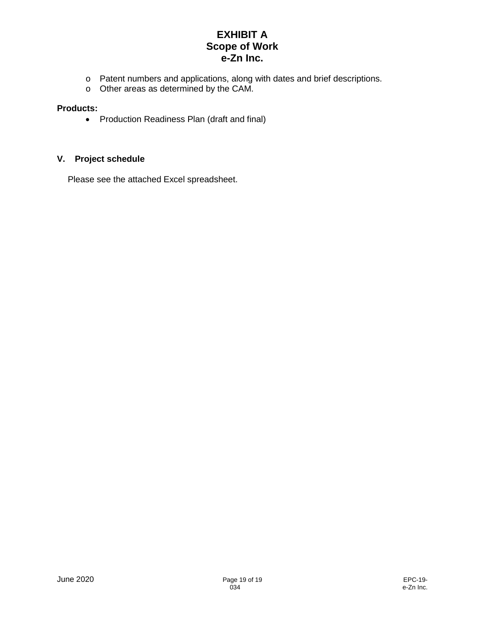- o Patent numbers and applications, along with dates and brief descriptions.
- o Other areas as determined by the CAM.

### **Products:**

• Production Readiness Plan (draft and final)

# **V. Project schedule**

Please see the attached Excel spreadsheet.